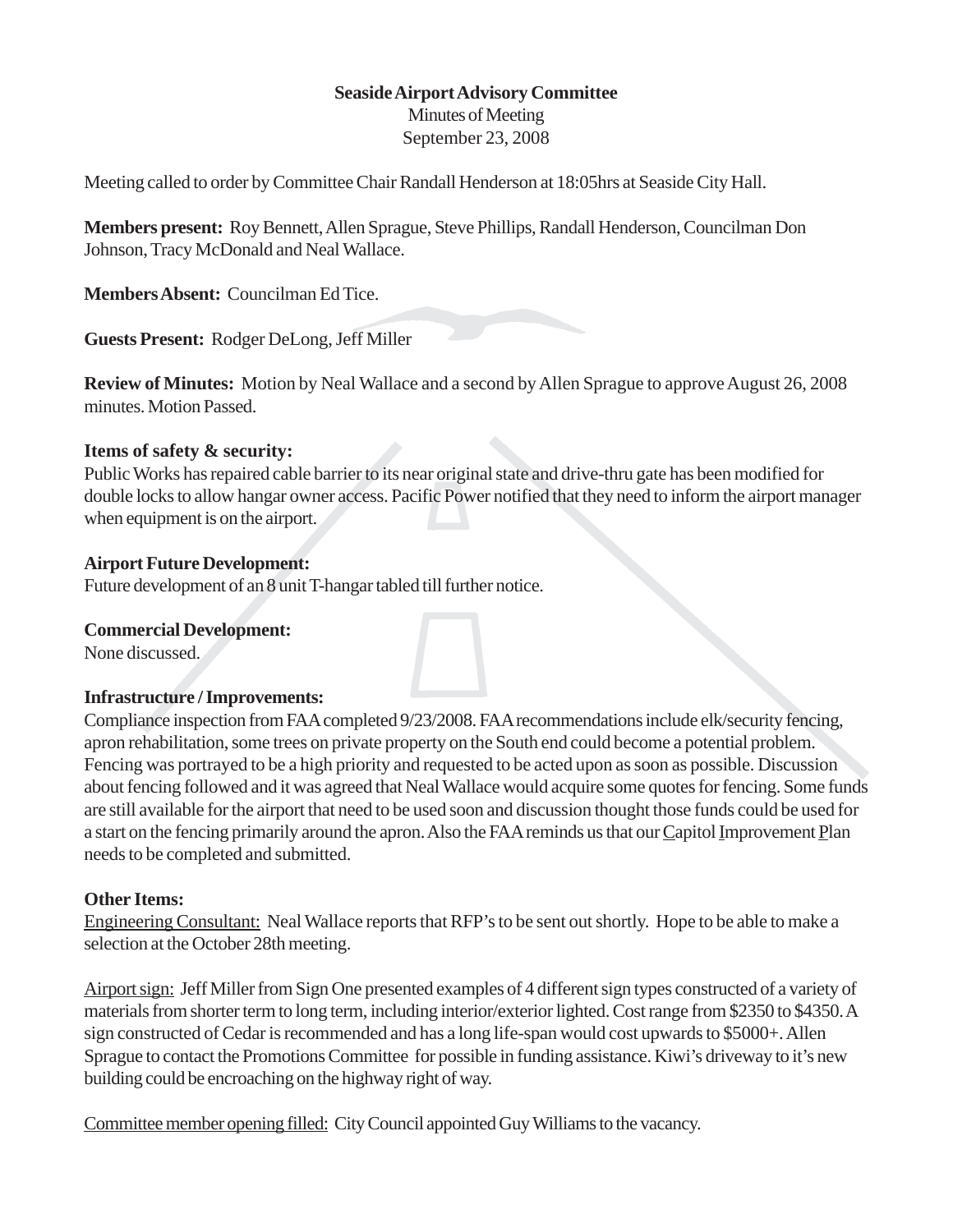# **Seaside Airport Advisory Committee**

Minutes of Meeting September 23, 2008

Meeting called to order by Committee Chair Randall Henderson at 18:05hrs at Seaside City Hall.

**Members present:** Roy Bennett, Allen Sprague, Steve Phillips, Randall Henderson, Councilman Don Johnson, Tracy McDonald and Neal Wallace.

**Members Absent:** Councilman Ed Tice.

**Guests Present:** Rodger DeLong, Jeff Miller

**Review of Minutes:** Motion by Neal Wallace and a second by Allen Sprague to approve August 26, 2008 minutes. Motion Passed.

## **Items of safety & security:**

Public Works has repaired cable barrier to its near original state and drive-thru gate has been modified for double locks to allow hangar owner access. Pacific Power notified that they need to inform the airport manager when equipment is on the airport.

## **Airport Future Development:**

Future development of an 8 unit T-hangar tabled till further notice.

## **Commercial Development:**

None discussed.

## **Infrastructure / Improvements:**

Compliance inspection from FAA completed 9/23/2008. FAA recommendations include elk/security fencing, apron rehabilitation, some trees on private property on the South end could become a potential problem. Fencing was portrayed to be a high priority and requested to be acted upon as soon as possible. Discussion about fencing followed and it was agreed that Neal Wallace would acquire some quotes for fencing. Some funds are still available for the airport that need to be used soon and discussion thought those funds could be used for a start on the fencing primarily around the apron. Also the FAA reminds us that our Capitol Improvement Plan needs to be completed and submitted.

## **Other Items:**

Engineering Consultant: Neal Wallace reports that RFP's to be sent out shortly. Hope to be able to make a selection at the October 28th meeting.

Airport sign: Jeff Miller from Sign One presented examples of 4 different sign types constructed of a variety of materials from shorter term to long term, including interior/exterior lighted. Cost range from \$2350 to \$4350. A sign constructed of Cedar is recommended and has a long life-span would cost upwards to \$5000+. Allen Sprague to contact the Promotions Committee for possible in funding assistance. Kiwi's driveway to it's new building could be encroaching on the highway right of way.

Committee member opening filled: City Council appointed Guy Williams to the vacancy.